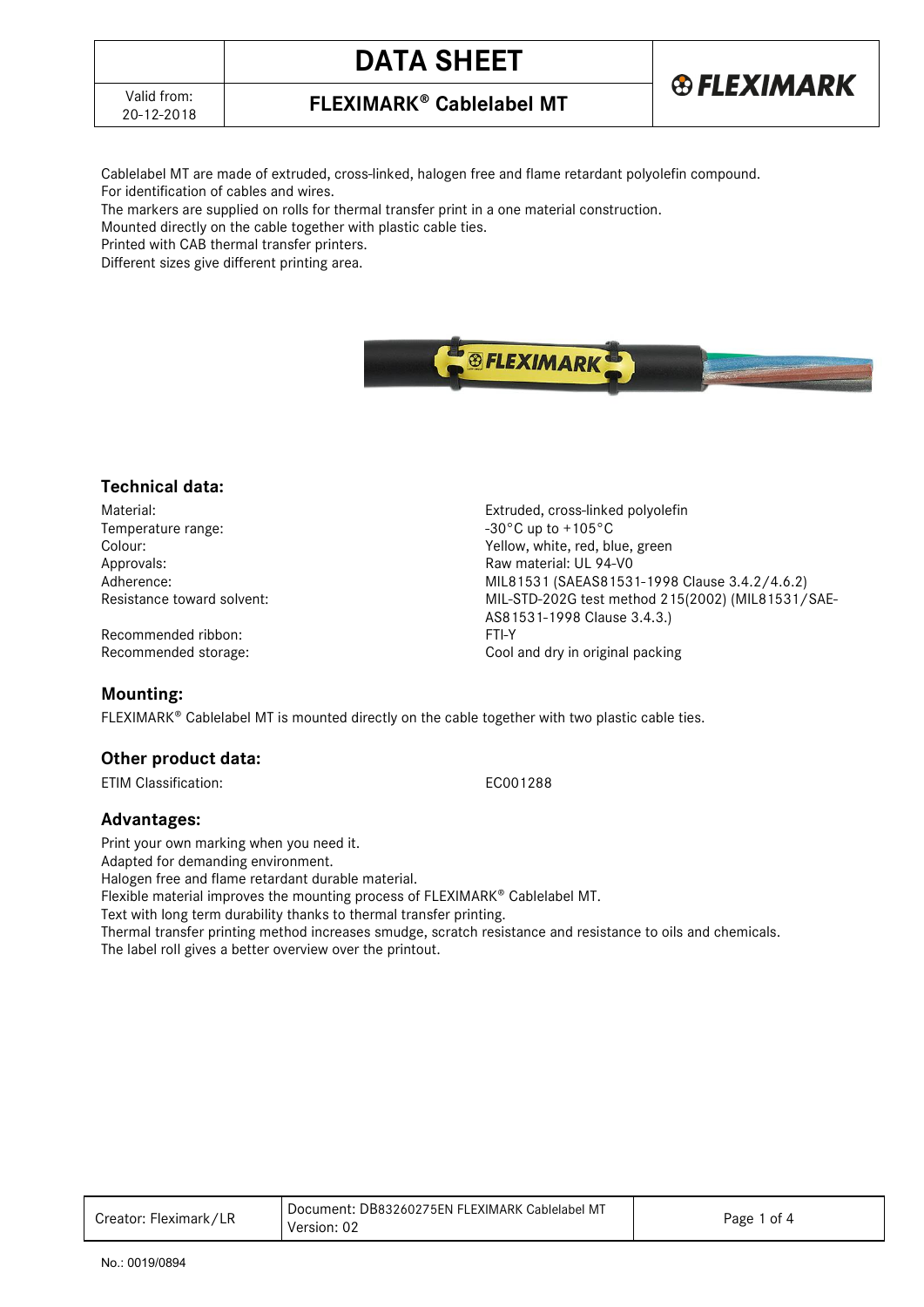## 20-12-2018 **FLEXIMARK Cablelabel MT**

**DATA SHEET**

Cablelabel MT are made of extruded, cross-linked, halogen free and flame retardant polyolefin compound. For identification of cables and wires.

The markers are supplied on rolls for thermal transfer print in a one material construction.

Mounted directly on the cable together with plastic cable ties.

Printed with CAB thermal transfer printers.

Different sizes give different printing area.

Material: Extruded, cross-linked polyolefin Temperature range:  $-30^{\circ}$ C up to +105°C Colour: Yellow, white, red, blue, green Approvals: Raw material: UL 94-V0 Adherence: MIL81531 (SAEAS81531-1998 Clause 3.4.2/4.6.2)<br>Resistance toward solvent: MIL-STD-202G test method 215(2002) (MIL81531/ MIL-STD-202G test method 215(2002) (MIL81531/SAE-AS81531-1998 Clause 3.4.3.)

Recommended storage: Cool and dry in original packing

FLEXIMARK<sup>®</sup> Cablelabel MT is mounted directly on the cable together with two plastic cable ties.

## **Other product data:**

Recommended ribbon:

ETIM Classification: EC001288

**Technical data:**

#### **Advantages:**

**Mounting:** 

Print your own marking when you need it. Adapted for demanding environment. Halogen free and flame retardant durable material. Flexible material improves the mounting process of FLEXIMARK<sup>®</sup> Cablelabel MT. Text with long term durability thanks to thermal transfer printing. Thermal transfer printing method increases smudge, scratch resistance and resistance to oils and chemicals.

The label roll gives a better overview over the printout.

| Creator: Fleximark / | Document: DB83260275EN FLEXIMARK Cablelabel MT<br>Version: 02 | Page<br>of 4 |
|----------------------|---------------------------------------------------------------|--------------|
|                      |                                                               |              |

**®FLEXIMARK** 

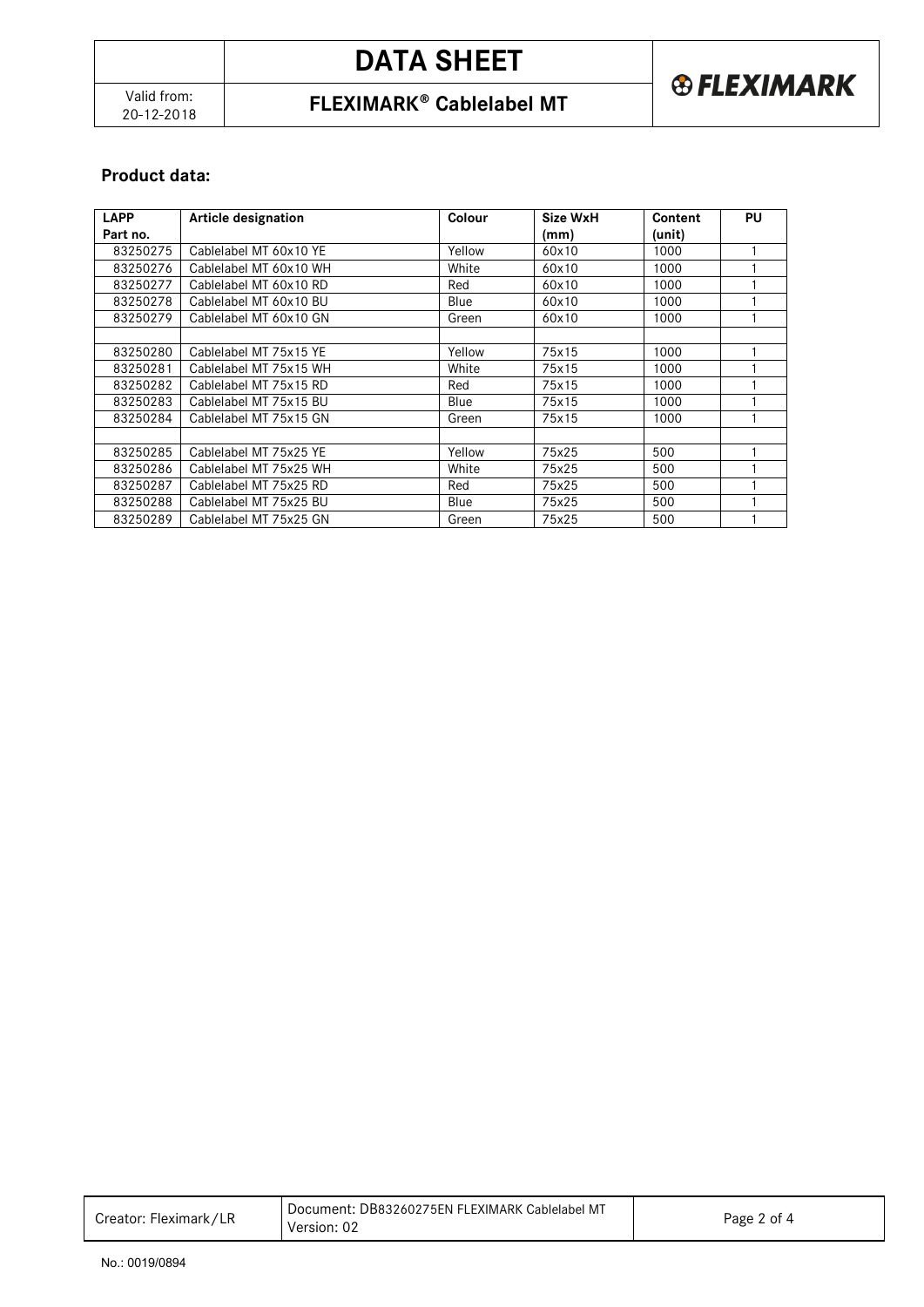# **DATA SHEET**



## 20-12-2018 **FLEXIMARK Cablelabel MT**

## **Product data:**

| <b>LAPP</b> | <b>Article designation</b> | Colour | Size WxH | Content | PU |
|-------------|----------------------------|--------|----------|---------|----|
| Part no.    |                            |        | (mm)     | (unit)  |    |
| 83250275    | Cablelabel MT 60x10 YE     | Yellow | 60x10    | 1000    |    |
| 83250276    | Cablelabel MT 60x10 WH     | White  | 60x10    | 1000    |    |
| 83250277    | Cablelabel MT 60x10 RD     | Red    | 60x10    | 1000    |    |
| 83250278    | Cablelabel MT 60x10 BU     | Blue   | 60x10    | 1000    |    |
| 83250279    | Cablelabel MT 60x10 GN     | Green  | 60x10    | 1000    |    |
|             |                            |        |          |         |    |
| 83250280    | Cablelabel MT 75x15 YE     | Yellow | 75x15    | 1000    |    |
| 83250281    | Cablelabel MT 75x15 WH     | White  | 75x15    | 1000    |    |
| 83250282    | Cablelabel MT 75x15 RD     | Red    | 75x15    | 1000    |    |
| 83250283    | Cablelabel MT 75x15 BU     | Blue   | 75x15    | 1000    |    |
| 83250284    | Cablelabel MT 75x15 GN     | Green  | 75x15    | 1000    |    |
|             |                            |        |          |         |    |
| 83250285    | Cablelabel MT 75x25 YE     | Yellow | 75x25    | 500     |    |
| 83250286    | Cablelabel MT 75x25 WH     | White  | 75x25    | 500     |    |
| 83250287    | Cablelabel MT 75x25 RD     | Red    | 75x25    | 500     |    |
| 83250288    | Cablelabel MT 75x25 BU     | Blue   | 75x25    | 500     |    |
| 83250289    | Cablelabel MT 75x25 GN     | Green  | 75x25    | 500     |    |

| Creator: Fleximark/LR | Document: DB83260275EN FLEXIMARK Cablelabel MT |             |
|-----------------------|------------------------------------------------|-------------|
|                       | Version: 02                                    | Page 2 of 4 |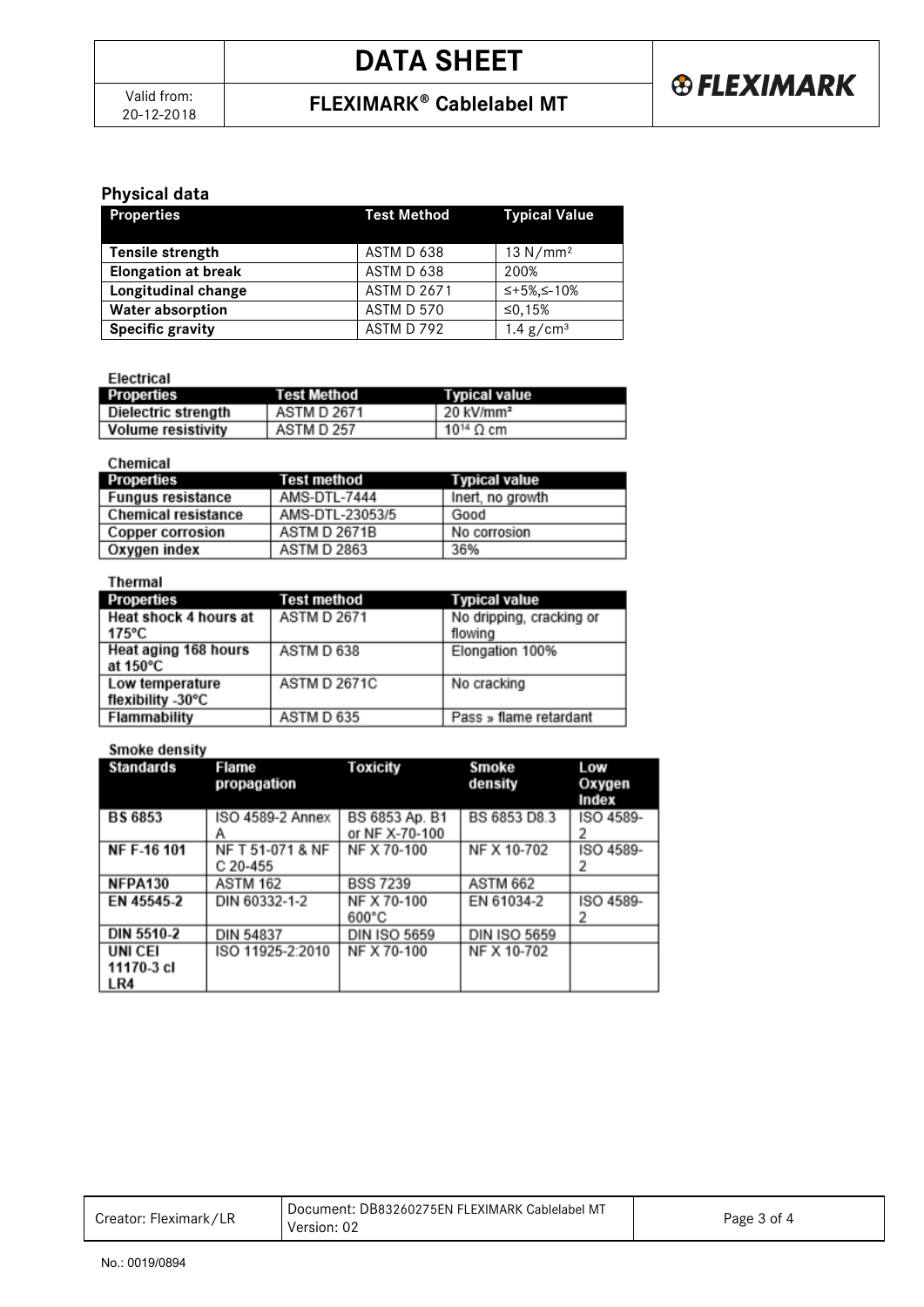## 20-12-2018 **FLEXIMARK Cablelabel MT**

## **Physical data**

| <b>Properties</b>          | <b>Test Method</b> | <b>Typical Value</b>    |
|----------------------------|--------------------|-------------------------|
| Tensile strength           | ASTM D 638         | 13 N/mm <sup>2</sup>    |
| <b>Elongation at break</b> | ASTM D 638         | 200%                    |
| Longitudinal change        | <b>ASTM D 2671</b> | ≤+5%,≤-10%              |
| <b>Water absorption</b>    | ASTM D 570         | ≤0.15%                  |
| <b>Specific gravity</b>    | ASTM D 792         | $1.4$ g/cm <sup>3</sup> |

Electrical

| Properties                | Test Method | Typical value                |
|---------------------------|-------------|------------------------------|
| Dielectric strength       | ASTM D 2671 | . 20 kV/mm <sup>2</sup>      |
| <b>Volume resistivity</b> | ASTM D 257  | 10 <sup>14</sup> $\Omega$ cm |

| Chemical                   |                    |                      |
|----------------------------|--------------------|----------------------|
| Properties                 | Test method        | <b>Typical value</b> |
| <b>Fungus resistance</b>   | AMS-DTL-7444       | Inert, no growth     |
| <b>Chemical resistance</b> | AMS-DTL-23053/5    | Good                 |
| <b>Copper corrosion</b>    | ASTM D 2671B       | No corrosion         |
| Oxygen index               | <b>ASTM D 2863</b> | 36%                  |

| Thermal                                  |                     |                                     |
|------------------------------------------|---------------------|-------------------------------------|
| Properties                               | Test method         | <b>Typical value</b>                |
| Heat shock 4 hours at<br>$175^{\circ}$ C | <b>ASTM D 2671</b>  | No dripping, cracking or<br>flowing |
| Heat aging 168 hours<br>at 150°C         | ASTM D 638          | Elongation 100%                     |
| Low temperature<br>flexibility -30°C     | <b>ASTM D 2671C</b> | No cracking                         |
| Flammability                             | ASTM D 635          | Pass » flame retardant              |

#### **Smoke density**

| <b>Standards</b>                   | Flame<br>propagation           | Toxicity                         | Smoke<br>density    | Low<br>Oxygen<br>Index |
|------------------------------------|--------------------------------|----------------------------------|---------------------|------------------------|
| <b>BS 6853</b>                     | ISO 4589-2 Annex               | BS 6853 Ap. B1<br>or NF X-70-100 | BS 6853 D8.3        | ISO 4589-              |
| <b>NF F-16 101</b>                 | NF T 51-071 & NF<br>$C$ 20-455 | NF X 70-100                      | NF X 10-702         | ISO 4589-              |
| NFPA130                            | <b>ASTM 162</b>                | <b>BSS 7239</b>                  | <b>ASTM 662</b>     |                        |
| EN 45545-2                         | DIN 60332-1-2                  | NF X 70-100<br>$600^{\circ}$ C   | EN 61034-2          | ISO 4589-<br>2         |
| DIN 5510-2                         | <b>DIN 54837</b>               | <b>DIN ISO 5659</b>              | <b>DIN ISO 5659</b> |                        |
| <b>UNICEI</b><br>11170-3 cl<br>LR4 | ISO 11925-2:2010               | NF X 70-100                      | NF X 10-702         |                        |

| Creator: Fleximark/LR | Document: DB83260275EN FLEXIMARK Cablelabel MT<br>Version: 02 | Page 3 of 4 |
|-----------------------|---------------------------------------------------------------|-------------|
|-----------------------|---------------------------------------------------------------|-------------|